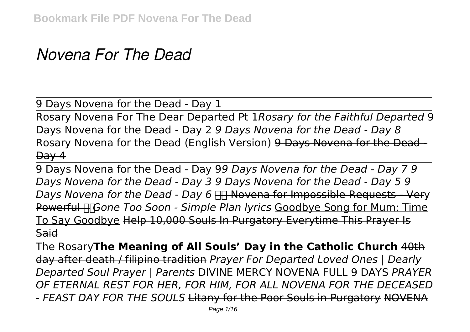## *Novena For The Dead*

9 Days Novena for the Dead - Day 1

Rosary Novena For The Dear Departed Pt 1*Rosary for the Faithful Departed* 9 Days Novena for the Dead - Day 2 *9 Days Novena for the Dead - Day 8* Rosary Novena for the Dead (English Version) 9 Days Novena for the Dead -  $Day 4$ 

9 Days Novena for the Dead - Day 9*9 Days Novena for the Dead - Day 7 9 Days Novena for the Dead - Day 3 9 Days Novena for the Dead - Day 5 9 Days Novena for the Dead - Day 6* FIF Novena for Impossible Requests - Very Powerful *Gone Too Soon - Simple Plan lyrics* Goodbye Song for Mum: Time To Say Goodbye Help 10,000 Souls In Purgatory Everytime This Prayer Is **Said** 

The Rosary**The Meaning of All Souls' Day in the Catholic Church** 40th day after death / filipino tradition *Prayer For Departed Loved Ones | Dearly Departed Soul Prayer | Parents* DIVINE MERCY NOVENA FULL 9 DAYS *PRAYER OF ETERNAL REST FOR HER, FOR HIM, FOR ALL NOVENA FOR THE DECEASED - FEAST DAY FOR THE SOULS* Litany for the Poor Souls in Purgatory NOVENA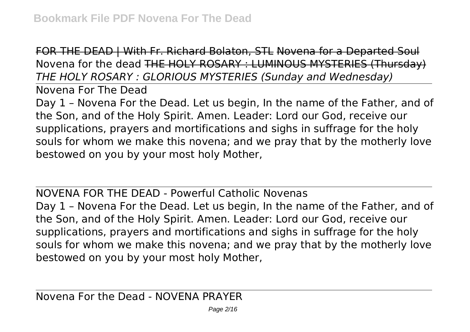FOR THE DEAD | With Fr. Richard Bolaton, STL Novena for a Departed Soul Novena for the dead THE HOLY ROSARY : LUMINOUS MYSTERIES (Thursday) *THE HOLY ROSARY : GLORIOUS MYSTERIES (Sunday and Wednesday)*

Novena For The Dead

Day 1 – Novena For the Dead. Let us begin, In the name of the Father, and of the Son, and of the Holy Spirit. Amen. Leader: Lord our God, receive our supplications, prayers and mortifications and sighs in suffrage for the holy souls for whom we make this novena; and we pray that by the motherly love bestowed on you by your most holy Mother,

NOVENA FOR THE DEAD - Powerful Catholic Novenas Day 1 – Novena For the Dead. Let us begin, In the name of the Father, and of the Son, and of the Holy Spirit. Amen. Leader: Lord our God, receive our supplications, prayers and mortifications and sighs in suffrage for the holy souls for whom we make this novena; and we pray that by the motherly love bestowed on you by your most holy Mother,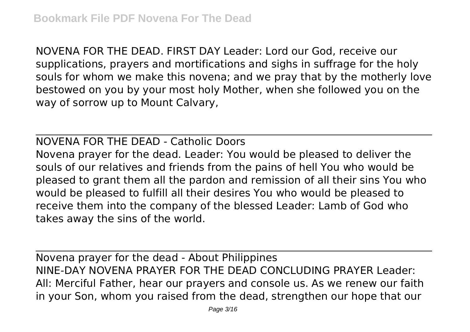NOVENA FOR THE DEAD. FIRST DAY Leader: Lord our God, receive our supplications, prayers and mortifications and sighs in suffrage for the holy souls for whom we make this novena; and we pray that by the motherly love bestowed on you by your most holy Mother, when she followed you on the way of sorrow up to Mount Calvary,

NOVENA FOR THE DEAD - Catholic Doors Novena prayer for the dead. Leader: You would be pleased to deliver the souls of our relatives and friends from the pains of hell You who would be pleased to grant them all the pardon and remission of all their sins You who would be pleased to fulfill all their desires You who would be pleased to receive them into the company of the blessed Leader: Lamb of God who takes away the sins of the world.

Novena prayer for the dead - About Philippines NINE-DAY NOVENA PRAYER FOR THE DEAD CONCLUDING PRAYER Leader: All: Merciful Father, hear our prayers and console us. As we renew our faith in your Son, whom you raised from the dead, strengthen our hope that our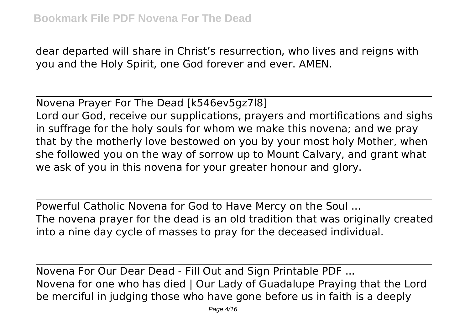dear departed will share in Christ's resurrection, who lives and reigns with you and the Holy Spirit, one God forever and ever. AMEN.

Novena Prayer For The Dead [k546ev5gz7l8] Lord our God, receive our supplications, prayers and mortifications and sighs in suffrage for the holy souls for whom we make this novena; and we pray that by the motherly love bestowed on you by your most holy Mother, when she followed you on the way of sorrow up to Mount Calvary, and grant what we ask of you in this novena for your greater honour and glory.

Powerful Catholic Novena for God to Have Mercy on the Soul ... The novena prayer for the dead is an old tradition that was originally created into a nine day cycle of masses to pray for the deceased individual.

Novena For Our Dear Dead - Fill Out and Sign Printable PDF ... Novena for one who has died | Our Lady of Guadalupe Praying that the Lord be merciful in judging those who have gone before us in faith is a deeply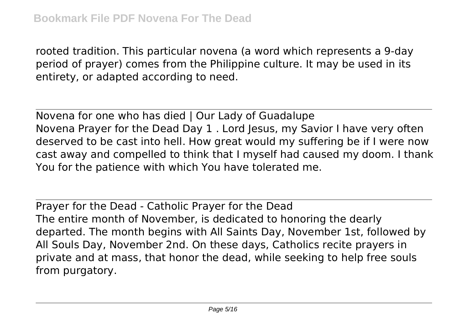rooted tradition. This particular novena (a word which represents a 9-day period of prayer) comes from the Philippine culture. It may be used in its entirety, or adapted according to need.

Novena for one who has died | Our Lady of Guadalupe Novena Prayer for the Dead Day 1 . Lord Jesus, my Savior I have very often deserved to be cast into hell. How great would my suffering be if I were now cast away and compelled to think that I myself had caused my doom. I thank You for the patience with which You have tolerated me.

Prayer for the Dead - Catholic Prayer for the Dead The entire month of November, is dedicated to honoring the dearly departed. The month begins with All Saints Day, November 1st, followed by All Souls Day, November 2nd. On these days, Catholics recite prayers in private and at mass, that honor the dead, while seeking to help free souls from purgatory.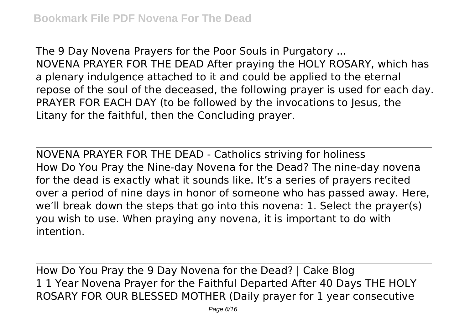The 9 Day Novena Prayers for the Poor Souls in Purgatory ... NOVENA PRAYER FOR THE DEAD After praying the HOLY ROSARY, which has a plenary indulgence attached to it and could be applied to the eternal repose of the soul of the deceased, the following prayer is used for each day. PRAYER FOR EACH DAY (to be followed by the invocations to Jesus, the Litany for the faithful, then the Concluding prayer.

NOVENA PRAYER FOR THE DEAD - Catholics striving for holiness How Do You Pray the Nine-day Novena for the Dead? The nine-day novena for the dead is exactly what it sounds like. It's a series of prayers recited over a period of nine days in honor of someone who has passed away. Here, we'll break down the steps that go into this novena: 1. Select the prayer(s) you wish to use. When praying any novena, it is important to do with intention.

How Do You Pray the 9 Day Novena for the Dead? | Cake Blog 1 1 Year Novena Prayer for the Faithful Departed After 40 Days THE HOLY ROSARY FOR OUR BLESSED MOTHER (Daily prayer for 1 year consecutive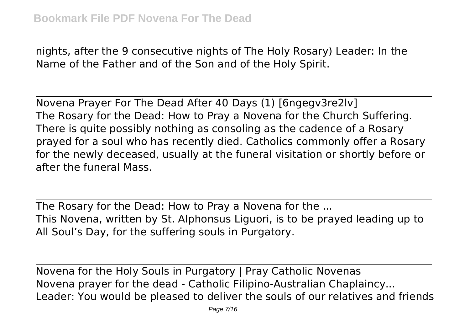nights, after the 9 consecutive nights of The Holy Rosary) Leader: In the Name of the Father and of the Son and of the Holy Spirit.

Novena Prayer For The Dead After 40 Days (1) [6ngegv3re2lv] The Rosary for the Dead: How to Pray a Novena for the Church Suffering. There is quite possibly nothing as consoling as the cadence of a Rosary prayed for a soul who has recently died. Catholics commonly offer a Rosary for the newly deceased, usually at the funeral visitation or shortly before or after the funeral Mass.

The Rosary for the Dead: How to Pray a Novena for the ... This Novena, written by St. Alphonsus Liguori, is to be prayed leading up to All Soul's Day, for the suffering souls in Purgatory.

Novena for the Holy Souls in Purgatory | Pray Catholic Novenas Novena prayer for the dead - Catholic Filipino-Australian Chaplaincy... Leader: You would be pleased to deliver the souls of our relatives and friends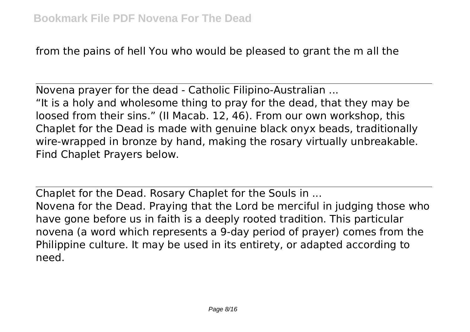from the pains of hell You who would be pleased to grant the m all the

Novena prayer for the dead - Catholic Filipino-Australian ... "It is a holy and wholesome thing to pray for the dead, that they may be loosed from their sins." (II Macab. 12, 46). From our own workshop, this Chaplet for the Dead is made with genuine black onyx beads, traditionally wire-wrapped in bronze by hand, making the rosary virtually unbreakable. Find Chaplet Prayers below.

Chaplet for the Dead. Rosary Chaplet for the Souls in ... Novena for the Dead. Praying that the Lord be merciful in judging those who have gone before us in faith is a deeply rooted tradition. This particular novena (a word which represents a 9-day period of prayer) comes from the Philippine culture. It may be used in its entirety, or adapted according to need.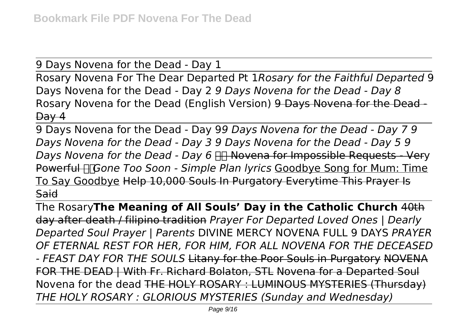9 Days Novena for the Dead - Day 1

Rosary Novena For The Dear Departed Pt 1*Rosary for the Faithful Departed* 9 Days Novena for the Dead - Day 2 *9 Days Novena for the Dead - Day 8* Rosary Novena for the Dead (English Version) 9 Days Novena for the Dead - $\theta$ ay 4

9 Days Novena for the Dead - Day 9*9 Days Novena for the Dead - Day 7 9 Days Novena for the Dead - Day 3 9 Days Novena for the Dead - Day 5 9 Days Novena for the Dead - Day 6* FIT Novena for Impossible Requests - Very Powerful *Gone Too Soon - Simple Plan lyrics* Goodbye Song for Mum: Time To Say Goodbye Help 10,000 Souls In Purgatory Everytime This Prayer Is **Said** 

The Rosary**The Meaning of All Souls' Day in the Catholic Church** 40th day after death / filipino tradition *Prayer For Departed Loved Ones | Dearly Departed Soul Prayer | Parents* DIVINE MERCY NOVENA FULL 9 DAYS *PRAYER OF ETERNAL REST FOR HER, FOR HIM, FOR ALL NOVENA FOR THE DECEASED - FEAST DAY FOR THE SOULS* Litany for the Poor Souls in Purgatory NOVENA FOR THE DEAD | With Fr. Richard Bolaton, STL Novena for a Departed Soul Novena for the dead THE HOLY ROSARY : LUMINOUS MYSTERIES (Thursday) *THE HOLY ROSARY : GLORIOUS MYSTERIES (Sunday and Wednesday)*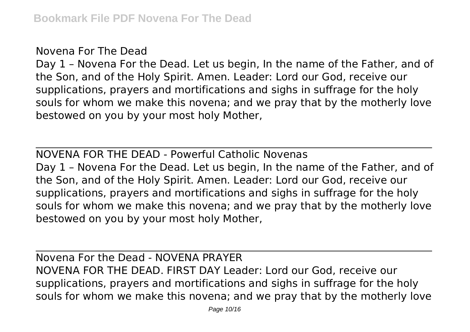Novena For The Dead

Day 1 – Novena For the Dead. Let us begin, In the name of the Father, and of the Son, and of the Holy Spirit. Amen. Leader: Lord our God, receive our supplications, prayers and mortifications and sighs in suffrage for the holy souls for whom we make this novena; and we pray that by the motherly love bestowed on you by your most holy Mother,

NOVENA FOR THE DEAD - Powerful Catholic Novenas Day 1 – Novena For the Dead. Let us begin, In the name of the Father, and of the Son, and of the Holy Spirit. Amen. Leader: Lord our God, receive our supplications, prayers and mortifications and sighs in suffrage for the holy souls for whom we make this novena; and we pray that by the motherly love bestowed on you by your most holy Mother,

Novena For the Dead - NOVENA PRAYER NOVENA FOR THE DEAD. FIRST DAY Leader: Lord our God, receive our supplications, prayers and mortifications and sighs in suffrage for the holy souls for whom we make this novena; and we pray that by the motherly love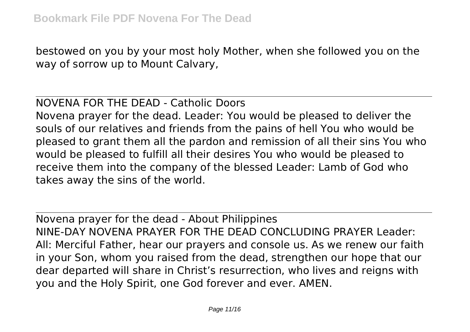bestowed on you by your most holy Mother, when she followed you on the way of sorrow up to Mount Calvary,

## NOVENA FOR THE DEAD - Catholic Doors

Novena prayer for the dead. Leader: You would be pleased to deliver the souls of our relatives and friends from the pains of hell You who would be pleased to grant them all the pardon and remission of all their sins You who would be pleased to fulfill all their desires You who would be pleased to receive them into the company of the blessed Leader: Lamb of God who takes away the sins of the world.

Novena prayer for the dead - About Philippines NINE-DAY NOVENA PRAYER FOR THE DEAD CONCLUDING PRAYER Leader: All: Merciful Father, hear our prayers and console us. As we renew our faith in your Son, whom you raised from the dead, strengthen our hope that our dear departed will share in Christ's resurrection, who lives and reigns with you and the Holy Spirit, one God forever and ever. AMEN.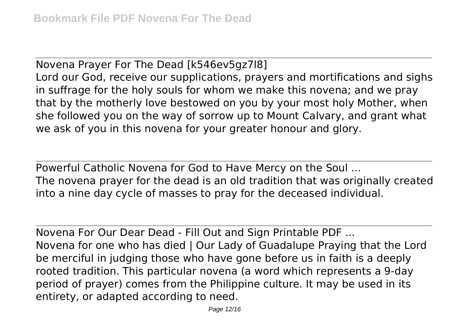Novena Prayer For The Dead [k546ev5gz7l8] Lord our God, receive our supplications, prayers and mortifications and sighs in suffrage for the holy souls for whom we make this novena; and we pray that by the motherly love bestowed on you by your most holy Mother, when she followed you on the way of sorrow up to Mount Calvary, and grant what we ask of you in this novena for your greater honour and glory.

Powerful Catholic Novena for God to Have Mercy on the Soul ... The novena prayer for the dead is an old tradition that was originally created into a nine day cycle of masses to pray for the deceased individual.

Novena For Our Dear Dead - Fill Out and Sign Printable PDF ... Novena for one who has died | Our Lady of Guadalupe Praying that the Lord be merciful in judging those who have gone before us in faith is a deeply rooted tradition. This particular novena (a word which represents a 9-day period of prayer) comes from the Philippine culture. It may be used in its entirety, or adapted according to need.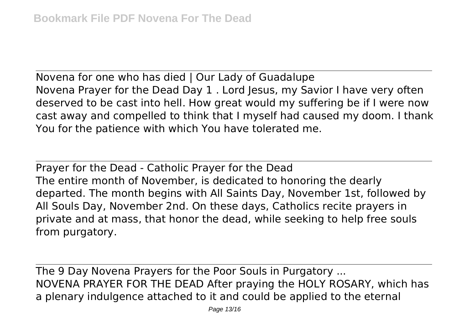Novena for one who has died | Our Lady of Guadalupe Novena Prayer for the Dead Day 1 . Lord Jesus, my Savior I have very often deserved to be cast into hell. How great would my suffering be if I were now cast away and compelled to think that I myself had caused my doom. I thank You for the patience with which You have tolerated me.

Prayer for the Dead - Catholic Prayer for the Dead The entire month of November, is dedicated to honoring the dearly departed. The month begins with All Saints Day, November 1st, followed by All Souls Day, November 2nd. On these days, Catholics recite prayers in private and at mass, that honor the dead, while seeking to help free souls from purgatory.

The 9 Day Novena Prayers for the Poor Souls in Purgatory ... NOVENA PRAYER FOR THE DEAD After praying the HOLY ROSARY, which has a plenary indulgence attached to it and could be applied to the eternal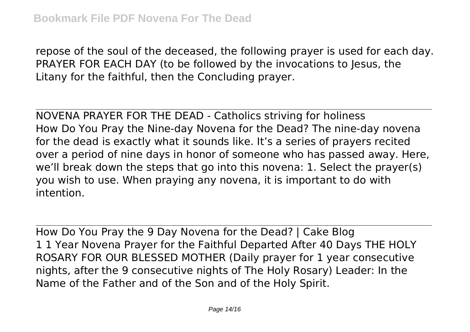repose of the soul of the deceased, the following prayer is used for each day. PRAYER FOR EACH DAY (to be followed by the invocations to Jesus, the Litany for the faithful, then the Concluding prayer.

NOVENA PRAYER FOR THE DEAD - Catholics striving for holiness How Do You Pray the Nine-day Novena for the Dead? The nine-day novena for the dead is exactly what it sounds like. It's a series of prayers recited over a period of nine days in honor of someone who has passed away. Here, we'll break down the steps that go into this novena: 1. Select the prayer(s) you wish to use. When praying any novena, it is important to do with intention.

How Do You Pray the 9 Day Novena for the Dead? | Cake Blog 1 1 Year Novena Prayer for the Faithful Departed After 40 Days THE HOLY ROSARY FOR OUR BLESSED MOTHER (Daily prayer for 1 year consecutive nights, after the 9 consecutive nights of The Holy Rosary) Leader: In the Name of the Father and of the Son and of the Holy Spirit.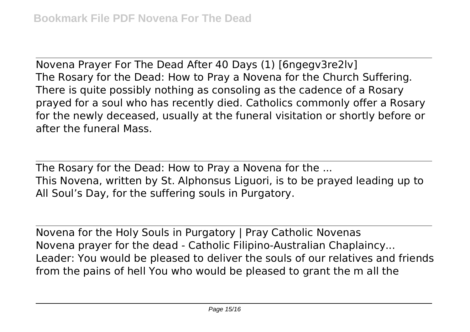Novena Prayer For The Dead After 40 Days (1) [6ngegv3re2lv] The Rosary for the Dead: How to Pray a Novena for the Church Suffering. There is quite possibly nothing as consoling as the cadence of a Rosary prayed for a soul who has recently died. Catholics commonly offer a Rosary for the newly deceased, usually at the funeral visitation or shortly before or after the funeral Mass.

The Rosary for the Dead: How to Pray a Novena for the ... This Novena, written by St. Alphonsus Liguori, is to be prayed leading up to All Soul's Day, for the suffering souls in Purgatory.

Novena for the Holy Souls in Purgatory | Pray Catholic Novenas Novena prayer for the dead - Catholic Filipino-Australian Chaplaincy... Leader: You would be pleased to deliver the souls of our relatives and friends from the pains of hell You who would be pleased to grant the m all the